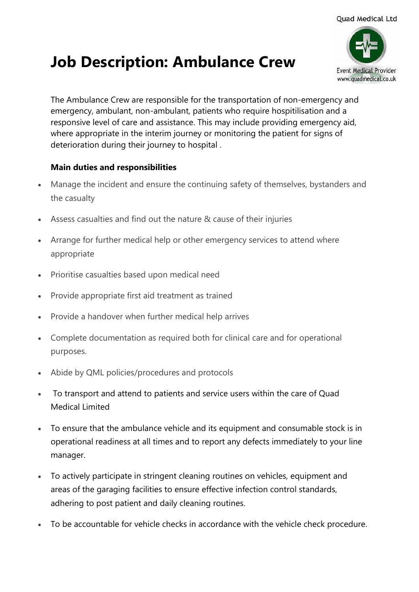## **Event Medical Provider** www.quadmedical.co.uk

## **Job Description: Ambulance Crew**

The Ambulance Crew are responsible for the transportation of non-emergency and emergency, ambulant, non-ambulant, patients who require hospitilisation and a responsive level of care and assistance. This may include providing emergency aid, where appropriate in the interim journey or monitoring the patient for signs of deterioration during their journey to hospital .

## **Main duties and responsibilities**

- Manage the incident and ensure the continuing safety of themselves, bystanders and the casualty
- Assess casualties and find out the nature & cause of their injuries
- Arrange for further medical help or other emergency services to attend where appropriate
- Prioritise casualties based upon medical need
- Provide appropriate first aid treatment as trained
- Provide a handover when further medical help arrives
- Complete documentation as required both for clinical care and for operational purposes.
- Abide by QML policies/procedures and protocols
- To transport and attend to patients and service users within the care of Quad Medical Limited
- To ensure that the ambulance vehicle and its equipment and consumable stock is in operational readiness at all times and to report any defects immediately to your line manager.
- To actively participate in stringent cleaning routines on vehicles, equipment and areas of the garaging facilities to ensure effective infection control standards, adhering to post patient and daily cleaning routines.
- To be accountable for vehicle checks in accordance with the vehicle check procedure.